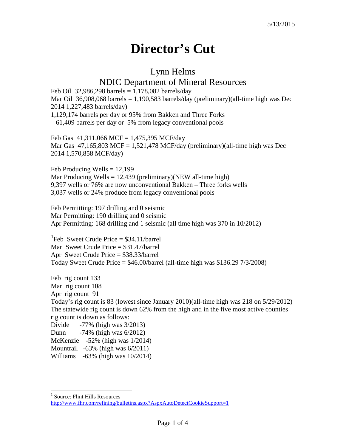## **Director's Cut**

## Lynn Helms

## NDIC Department of Mineral Resources

Feb Oil 32,986,298 barrels =  $1,178,082$  barrels/day Mar Oil 36,908,068 barrels = 1,190,583 barrels/day (preliminary)(all-time high was Dec 2014 1,227,483 barrels/day) 1,129,174 barrels per day or 95% from Bakken and Three Forks 61,409 barrels per day or 5% from legacy conventional pools

Feb Gas  $41,311,066$  MCF = 1,475,395 MCF/day Mar Gas  $47,165,803$  MCF = 1,521,478 MCF/day (preliminary)(all-time high was Dec 2014 1,570,858 MCF/day)

Feb Producing Wells  $= 12,199$ Mar Producing Wells =  $12,439$  (preliminary)(NEW all-time high) 9,397 wells or 76% are now unconventional Bakken – Three forks wells 3,037 wells or 24% produce from legacy conventional pools

Feb Permitting: 197 drilling and 0 seismic Mar Permitting: 190 drilling and 0 seismic Apr Permitting: 168 drilling and 1 seismic (all time high was 370 in 10/2012)

<sup>[1](#page-0-0)</sup>Feb Sweet Crude Price =  $$34.11/b$ arrel Mar Sweet Crude Price = \$31.47/barrel Apr Sweet Crude Price = \$38.33/barrel Today Sweet Crude Price = \$46.00/barrel (all-time high was \$136.29 7/3/2008)

Feb rig count 133 Mar rig count 108 Apr rig count 91 Today's rig count is 83 (lowest since January 2010)(all-time high was 218 on 5/29/2012) The statewide rig count is down 62% from the high and in the five most active counties rig count is down as follows: Divide -77% (high was 3/2013) Dunn -74% (high was 6/2012)

McKenzie -52% (high was 1/2014)

Mountrail -63% (high was 6/2011)

Williams -63% (high was 10/2014)

<span id="page-0-0"></span><sup>&</sup>lt;sup>1</sup> Source: Flint Hills Resources

<http://www.fhr.com/refining/bulletins.aspx?AspxAutoDetectCookieSupport=1>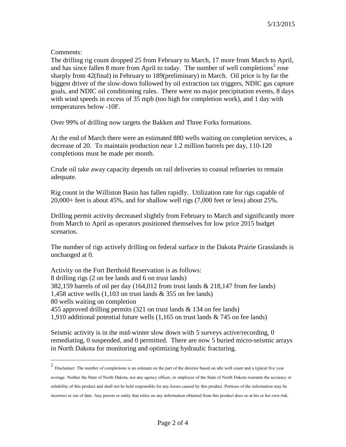## Comments:

The drilling rig count dropped 25 from February to March, 17 more from March to April, and has since fallen 8 more from April to today. The number of well completions<sup>[2](#page-1-0)</sup> rose sharply from 42(final) in February to 189(preliminary) in March. Oil price is by far the biggest driver of the slow-down followed by oil extraction tax triggers, NDIC gas capture goals, and NDIC oil conditioning rules. There were no major precipitation events, 8 days with wind speeds in excess of 35 mph (too high for completion work), and 1 day with temperatures below -10F.

Over 99% of drilling now targets the Bakken and Three Forks formations.

At the end of March there were an estimated 880 wells waiting on completion services, a decrease of 20. To maintain production near 1.2 million barrels per day, 110-120 completions must be made per month.

Crude oil take away capacity depends on rail deliveries to coastal refineries to remain adequate.

Rig count in the Williston Basin has fallen rapidly. Utilization rate for rigs capable of 20,000+ feet is about 45%, and for shallow well rigs (7,000 feet or less) about 25%.

Drilling permit activity decreased slightly from February to March and significantly more from March to April as operators positioned themselves for low price 2015 budget scenarios.

The number of rigs actively drilling on federal surface in the Dakota Prairie Grasslands is unchanged at 0.

Activity on the Fort Berthold Reservation is as follows: 8 drilling rigs (2 on fee lands and 6 on trust lands) 382,159 barrels of oil per day (164,012 from trust lands & 218,147 from fee lands) 1,458 active wells  $(1,103$  on trust lands & 355 on fee lands) 80 wells waiting on completion 455 approved drilling permits (321 on trust lands & 134 on fee lands) 1,910 additional potential future wells (1,165 on trust lands & 745 on fee lands)

Seismic activity is in the mid-winter slow down with 5 surveys active/recording, 0 remediating, 0 suspended, and 0 permitted. There are now 5 buried micro-seismic arrays in North Dakota for monitoring and optimizing hydraulic fracturing.

<span id="page-1-0"></span> <sup>2</sup> Disclaimer: The number of completions is an estimate on the part of the director based on idle well count and a typical five year average. Neither the State of North Dakota, nor any agency officer, or employee of the State of North Dakota warrants the accuracy or reliability of this product and shall not be held responsible for any losses caused by this product. Portions of the information may be incorrect or out of date. Any person or entity that relies on any information obtained from this product does so at his or her own risk.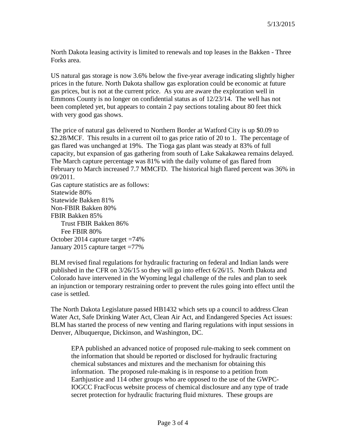North Dakota leasing activity is limited to renewals and top leases in the Bakken - Three Forks area.

US natural gas storage is now 3.6% below the five-year average indicating slightly higher prices in the future. North Dakota shallow gas exploration could be economic at future gas prices, but is not at the current price. As you are aware the exploration well in Emmons County is no longer on confidential status as of 12/23/14. The well has not been completed yet, but appears to contain 2 pay sections totaling about 80 feet thick with very good gas shows.

The price of natural gas delivered to Northern Border at Watford City is up \$0.09 to \$2.28/MCF. This results in a current oil to gas price ratio of 20 to 1. The percentage of gas flared was unchanged at 19%. The Tioga gas plant was steady at 83% of full capacity, but expansion of gas gathering from south of Lake Sakakawea remains delayed. The March capture percentage was 81% with the daily volume of gas flared from February to March increased 7.7 MMCFD. The historical high flared percent was 36% in 09/2011.

Gas capture statistics are as follows: Statewide 80% Statewide Bakken 81% Non-FBIR Bakken 80% FBIR Bakken 85% Trust FBIR Bakken 86% Fee FBIR 80% October 2014 capture target =74% January 2015 capture target =77%

BLM revised final regulations for hydraulic fracturing on federal and Indian lands were published in the CFR on 3/26/15 so they will go into effect 6/26/15. North Dakota and Colorado have intervened in the Wyoming legal challenge of the rules and plan to seek an injunction or temporary restraining order to prevent the rules going into effect until the case is settled.

The North Dakota Legislature passed HB1432 which sets up a council to address Clean Water Act, Safe Drinking Water Act, Clean Air Act, and Endangered Species Act issues: BLM has started the process of new venting and flaring regulations with input sessions in Denver, Albuquerque, Dickinson, and Washington, DC.

EPA published an advanced notice of proposed rule-making to seek comment on the information that should be reported or disclosed for hydraulic fracturing chemical substances and mixtures and the mechanism for obtaining this information. The proposed rule-making is in response to a petition from Earthjustice and 114 other groups who are opposed to the use of the GWPC-IOGCC FracFocus website process of chemical disclosure and any type of trade secret protection for hydraulic fracturing fluid mixtures. These groups are